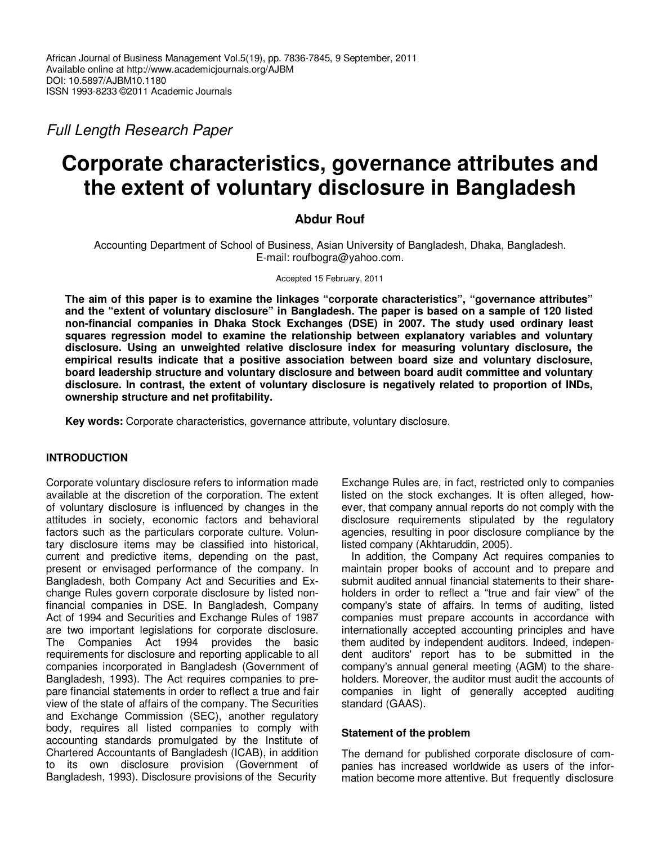Full Length Research Paper

# **Corporate characteristics, governance attributes and the extent of voluntary disclosure in Bangladesh**

# **Abdur Rouf**

Accounting Department of School of Business, Asian University of Bangladesh, Dhaka, Bangladesh. E-mail: roufbogra@yahoo.com.

Accepted 15 February, 2011

**The aim of this paper is to examine the linkages "corporate characteristics", "governance attributes" and the "extent of voluntary disclosure" in Bangladesh. The paper is based on a sample of 120 listed non-financial companies in Dhaka Stock Exchanges (DSE) in 2007. The study used ordinary least squares regression model to examine the relationship between explanatory variables and voluntary disclosure. Using an unweighted relative disclosure index for measuring voluntary disclosure, the empirical results indicate that a positive association between board size and voluntary disclosure, board leadership structure and voluntary disclosure and between board audit committee and voluntary disclosure. In contrast, the extent of voluntary disclosure is negatively related to proportion of INDs, ownership structure and net profitability.** 

**Key words:** Corporate characteristics, governance attribute, voluntary disclosure.

## **INTRODUCTION**

Corporate voluntary disclosure refers to information made available at the discretion of the corporation. The extent of voluntary disclosure is influenced by changes in the attitudes in society, economic factors and behavioral factors such as the particulars corporate culture. Voluntary disclosure items may be classified into historical, current and predictive items, depending on the past, present or envisaged performance of the company. In Bangladesh, both Company Act and Securities and Exchange Rules govern corporate disclosure by listed nonfinancial companies in DSE. In Bangladesh, Company Act of 1994 and Securities and Exchange Rules of 1987 are two important legislations for corporate disclosure. The Companies Act 1994 provides the basic requirements for disclosure and reporting applicable to all companies incorporated in Bangladesh (Government of Bangladesh, 1993). The Act requires companies to prepare financial statements in order to reflect a true and fair view of the state of affairs of the company. The Securities and Exchange Commission (SEC), another regulatory body, requires all listed companies to comply with accounting standards promulgated by the Institute of Chartered Accountants of Bangladesh (ICAB), in addition to its own disclosure provision (Government of Bangladesh, 1993). Disclosure provisions of the Security

Exchange Rules are, in fact, restricted only to companies listed on the stock exchanges. It is often alleged, however, that company annual reports do not comply with the disclosure requirements stipulated by the regulatory agencies, resulting in poor disclosure compliance by the listed company (Akhtaruddin, 2005).

In addition, the Company Act requires companies to maintain proper books of account and to prepare and submit audited annual financial statements to their shareholders in order to reflect a "true and fair view" of the company's state of affairs. In terms of auditing, listed companies must prepare accounts in accordance with internationally accepted accounting principles and have them audited by independent auditors. Indeed, independent auditors' report has to be submitted in the company's annual general meeting (AGM) to the shareholders. Moreover, the auditor must audit the accounts of companies in light of generally accepted auditing standard (GAAS).

## **Statement of the problem**

The demand for published corporate disclosure of companies has increased worldwide as users of the information become more attentive. But frequently disclosure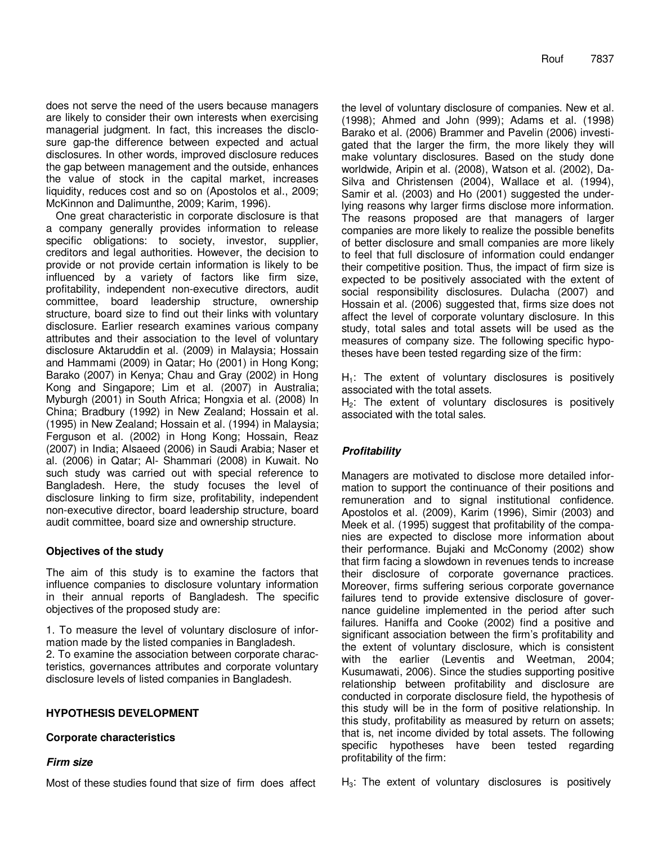does not serve the need of the users because managers are likely to consider their own interests when exercising managerial judgment. In fact, this increases the disclosure gap-the difference between expected and actual disclosures. In other words, improved disclosure reduces the gap between management and the outside, enhances the value of stock in the capital market, increases liquidity, reduces cost and so on (Apostolos et al., 2009; McKinnon and Dalimunthe, 2009; Karim, 1996).

One great characteristic in corporate disclosure is that a company generally provides information to release specific obligations: to society, investor, supplier, creditors and legal authorities. However, the decision to provide or not provide certain information is likely to be influenced by a variety of factors like firm size, profitability, independent non-executive directors, audit committee, board leadership structure, ownership structure, board size to find out their links with voluntary disclosure. Earlier research examines various company attributes and their association to the level of voluntary disclosure Aktaruddin et al. (2009) in Malaysia; Hossain and Hammami (2009) in Qatar; Ho (2001) in Hong Kong; Barako (2007) in Kenya; Chau and Gray (2002) in Hong Kong and Singapore; Lim et al. (2007) in Australia; Myburgh (2001) in South Africa; Hongxia et al. (2008) In China; Bradbury (1992) in New Zealand; Hossain et al. (1995) in New Zealand; Hossain et al. (1994) in Malaysia; Ferguson et al. (2002) in Hong Kong; Hossain, Reaz (2007) in India; Alsaeed (2006) in Saudi Arabia; Naser et al. (2006) in Qatar; Al- Shammari (2008) in Kuwait. No such study was carried out with special reference to Bangladesh. Here, the study focuses the level of disclosure linking to firm size, profitability, independent non-executive director, board leadership structure, board audit committee, board size and ownership structure.

# **Objectives of the study**

The aim of this study is to examine the factors that influence companies to disclosure voluntary information in their annual reports of Bangladesh. The specific objectives of the proposed study are:

1. To measure the level of voluntary disclosure of information made by the listed companies in Bangladesh. 2. To examine the association between corporate characteristics, governances attributes and corporate voluntary disclosure levels of listed companies in Bangladesh.

## **HYPOTHESIS DEVELOPMENT**

## **Corporate characteristics**

## **Firm size**

Most of these studies found that size of firm does affect

the level of voluntary disclosure of companies. New et al. (1998); Ahmed and John (999); Adams et al. (1998) Barako et al. (2006) Brammer and Pavelin (2006) investigated that the larger the firm, the more likely they will make voluntary disclosures. Based on the study done worldwide, Aripin et al. (2008), Watson et al. (2002), Da-Silva and Christensen (2004), Wallace et al. (1994), Samir et al. (2003) and Ho (2001) suggested the underlying reasons why larger firms disclose more information. The reasons proposed are that managers of larger companies are more likely to realize the possible benefits of better disclosure and small companies are more likely to feel that full disclosure of information could endanger their competitive position. Thus, the impact of firm size is expected to be positively associated with the extent of social responsibility disclosures. Dulacha (2007) and Hossain et al. (2006) suggested that, firms size does not affect the level of corporate voluntary disclosure. In this study, total sales and total assets will be used as the measures of company size. The following specific hypotheses have been tested regarding size of the firm:

 $H_1$ : The extent of voluntary disclosures is positively associated with the total assets.

 $H<sub>2</sub>$ : The extent of voluntary disclosures is positively associated with the total sales.

# **Profitability**

Managers are motivated to disclose more detailed information to support the continuance of their positions and remuneration and to signal institutional confidence. Apostolos et al. (2009), Karim (1996), Simir (2003) and Meek et al. (1995) suggest that profitability of the companies are expected to disclose more information about their performance. Bujaki and McConomy (2002) show that firm facing a slowdown in revenues tends to increase their disclosure of corporate governance practices. Moreover, firms suffering serious corporate governance failures tend to provide extensive disclosure of governance guideline implemented in the period after such failures. Haniffa and Cooke (2002) find a positive and significant association between the firm's profitability and the extent of voluntary disclosure, which is consistent with the earlier (Leventis and Weetman, 2004; Kusumawati, 2006). Since the studies supporting positive relationship between profitability and disclosure are conducted in corporate disclosure field, the hypothesis of this study will be in the form of positive relationship. In this study, profitability as measured by return on assets; that is, net income divided by total assets. The following specific hypotheses have been tested regarding profitability of the firm:

 $H<sub>3</sub>$ : The extent of voluntary disclosures is positively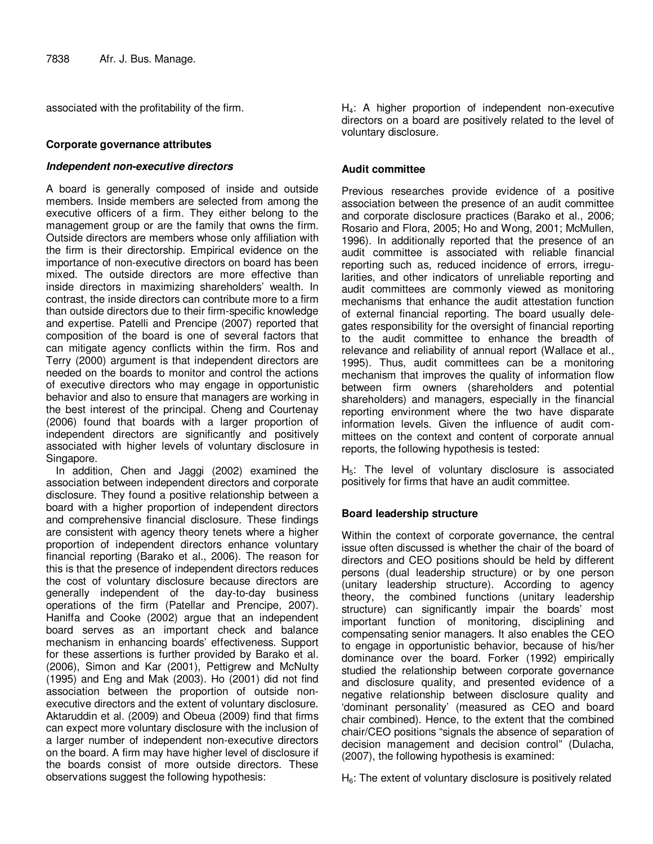associated with the profitability of the firm.

#### **Corporate governance attributes**

#### **Independent non-executive directors**

A board is generally composed of inside and outside members. Inside members are selected from among the executive officers of a firm. They either belong to the management group or are the family that owns the firm. Outside directors are members whose only affiliation with the firm is their directorship. Empirical evidence on the importance of non-executive directors on board has been mixed. The outside directors are more effective than inside directors in maximizing shareholders' wealth. In contrast, the inside directors can contribute more to a firm than outside directors due to their firm-specific knowledge and expertise. Patelli and Prencipe (2007) reported that composition of the board is one of several factors that can mitigate agency conflicts within the firm. Ros and Terry (2000) argument is that independent directors are needed on the boards to monitor and control the actions of executive directors who may engage in opportunistic behavior and also to ensure that managers are working in the best interest of the principal. Cheng and Courtenay (2006) found that boards with a larger proportion of independent directors are significantly and positively associated with higher levels of voluntary disclosure in Singapore.

In addition, Chen and Jaggi (2002) examined the association between independent directors and corporate disclosure. They found a positive relationship between a board with a higher proportion of independent directors and comprehensive financial disclosure. These findings are consistent with agency theory tenets where a higher proportion of independent directors enhance voluntary financial reporting (Barako et al., 2006). The reason for this is that the presence of independent directors reduces the cost of voluntary disclosure because directors are generally independent of the day-to-day business operations of the firm (Patellar and Prencipe, 2007). Haniffa and Cooke (2002) argue that an independent board serves as an important check and balance mechanism in enhancing boards' effectiveness. Support for these assertions is further provided by Barako et al. (2006), Simon and Kar (2001), Pettigrew and McNulty (1995) and Eng and Mak (2003). Ho (2001) did not find association between the proportion of outside nonexecutive directors and the extent of voluntary disclosure. Aktaruddin et al. (2009) and Obeua (2009) find that firms can expect more voluntary disclosure with the inclusion of a larger number of independent non-executive directors on the board. A firm may have higher level of disclosure if the boards consist of more outside directors. These observations suggest the following hypothesis:

H4: A higher proportion of independent non-executive directors on a board are positively related to the level of voluntary disclosure.

#### **Audit committee**

Previous researches provide evidence of a positive association between the presence of an audit committee and corporate disclosure practices (Barako et al., 2006; Rosario and Flora, 2005; Ho and Wong, 2001; McMullen, 1996). In additionally reported that the presence of an audit committee is associated with reliable financial reporting such as, reduced incidence of errors, irregularities, and other indicators of unreliable reporting and audit committees are commonly viewed as monitoring mechanisms that enhance the audit attestation function of external financial reporting. The board usually delegates responsibility for the oversight of financial reporting to the audit committee to enhance the breadth of relevance and reliability of annual report (Wallace et al., 1995). Thus, audit committees can be a monitoring mechanism that improves the quality of information flow between firm owners (shareholders and potential shareholders) and managers, especially in the financial reporting environment where the two have disparate information levels. Given the influence of audit committees on the context and content of corporate annual reports, the following hypothesis is tested:

 $H<sub>5</sub>$ : The level of voluntary disclosure is associated positively for firms that have an audit committee.

## **Board leadership structure**

Within the context of corporate governance, the central issue often discussed is whether the chair of the board of directors and CEO positions should be held by different persons (dual leadership structure) or by one person (unitary leadership structure). According to agency theory, the combined functions (unitary leadership structure) can significantly impair the boards' most important function of monitoring, disciplining and compensating senior managers. It also enables the CEO to engage in opportunistic behavior, because of his/her dominance over the board. Forker (1992) empirically studied the relationship between corporate governance and disclosure quality, and presented evidence of a negative relationship between disclosure quality and 'dominant personality' (measured as CEO and board chair combined). Hence, to the extent that the combined chair/CEO positions "signals the absence of separation of decision management and decision control" (Dulacha, (2007), the following hypothesis is examined:

 $H<sub>6</sub>$ : The extent of voluntary disclosure is positively related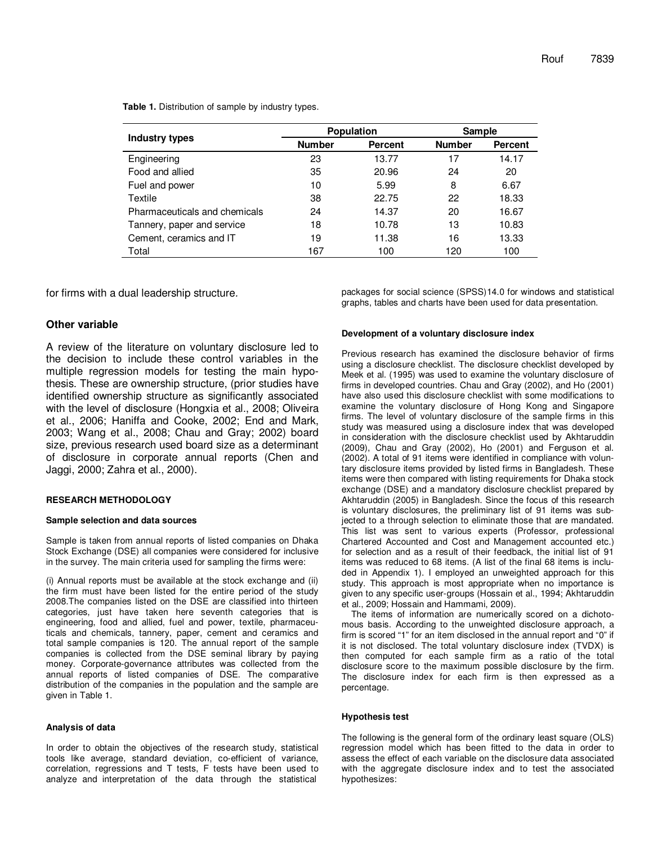|                               |               | <b>Population</b> | Sample        |                |  |
|-------------------------------|---------------|-------------------|---------------|----------------|--|
| Industry types                | <b>Number</b> | <b>Percent</b>    | <b>Number</b> | <b>Percent</b> |  |
| Engineering                   | 23            | 13.77             | 17            | 14.17          |  |
| Food and allied               | 35            | 20.96             | 24            | 20             |  |
| Fuel and power                | 10            | 5.99              | 8             | 6.67           |  |
| Textile                       | 38            | 22.75             | 22            | 18.33          |  |
| Pharmaceuticals and chemicals | 24            | 14.37             | 20            | 16.67          |  |
| Tannery, paper and service    | 18            | 10.78             | 13            | 10.83          |  |
| Cement, ceramics and IT       | 19            | 11.38             | 16            | 13.33          |  |
| Total                         | 167           | 100               | 120           | 100            |  |

**Table 1.** Distribution of sample by industry types.

for firms with a dual leadership structure.

#### **Other variable**

A review of the literature on voluntary disclosure led to the decision to include these control variables in the multiple regression models for testing the main hypothesis. These are ownership structure, (prior studies have identified ownership structure as significantly associated with the level of disclosure (Hongxia et al., 2008; Oliveira et al., 2006; Haniffa and Cooke, 2002; End and Mark, 2003; Wang et al., 2008; Chau and Gray; 2002) board size, previous research used board size as a determinant of disclosure in corporate annual reports (Chen and Jaggi, 2000; Zahra et al., 2000).

#### **RESEARCH METHODOLOGY**

#### **Sample selection and data sources**

Sample is taken from annual reports of listed companies on Dhaka Stock Exchange (DSE) all companies were considered for inclusive in the survey. The main criteria used for sampling the firms were:

(i) Annual reports must be available at the stock exchange and (ii) the firm must have been listed for the entire period of the study 2008.The companies listed on the DSE are classified into thirteen categories, just have taken here seventh categories that is engineering, food and allied, fuel and power, textile, pharmaceuticals and chemicals, tannery, paper, cement and ceramics and total sample companies is 120. The annual report of the sample companies is collected from the DSE seminal library by paying money. Corporate-governance attributes was collected from the annual reports of listed companies of DSE. The comparative distribution of the companies in the population and the sample are given in Table 1.

#### **Analysis of data**

In order to obtain the objectives of the research study, statistical tools like average, standard deviation, co-efficient of variance, correlation, regressions and T tests, F tests have been used to analyze and interpretation of the data through the statistical

packages for social science (SPSS)14.0 for windows and statistical graphs, tables and charts have been used for data presentation.

#### **Development of a voluntary disclosure index**

Previous research has examined the disclosure behavior of firms using a disclosure checklist. The disclosure checklist developed by Meek et al. (1995) was used to examine the voluntary disclosure of firms in developed countries. Chau and Gray (2002), and Ho (2001) have also used this disclosure checklist with some modifications to examine the voluntary disclosure of Hong Kong and Singapore firms. The level of voluntary disclosure of the sample firms in this study was measured using a disclosure index that was developed in consideration with the disclosure checklist used by Akhtaruddin (2009), Chau and Gray (2002), Ho (2001) and Ferguson et al. (2002). A total of 91 items were identified in compliance with voluntary disclosure items provided by listed firms in Bangladesh. These items were then compared with listing requirements for Dhaka stock exchange (DSE) and a mandatory disclosure checklist prepared by Akhtaruddin (2005) in Bangladesh. Since the focus of this research is voluntary disclosures, the preliminary list of 91 items was subjected to a through selection to eliminate those that are mandated. This list was sent to various experts (Professor, professional Chartered Accounted and Cost and Management accounted etc.) for selection and as a result of their feedback, the initial list of 91 items was reduced to 68 items. (A list of the final 68 items is included in Appendix 1). I employed an unweighted approach for this study. This approach is most appropriate when no importance is given to any specific user-groups (Hossain et al., 1994; Akhtaruddin et al., 2009; Hossain and Hammami, 2009).

The items of information are numerically scored on a dichotomous basis. According to the unweighted disclosure approach, a firm is scored "1" for an item disclosed in the annual report and "0" if it is not disclosed. The total voluntary disclosure index (TVDX) is then computed for each sample firm as a ratio of the total disclosure score to the maximum possible disclosure by the firm. The disclosure index for each firm is then expressed as a percentage.

#### **Hypothesis test**

The following is the general form of the ordinary least square (OLS) regression model which has been fitted to the data in order to assess the effect of each variable on the disclosure data associated with the aggregate disclosure index and to test the associated hypothesizes: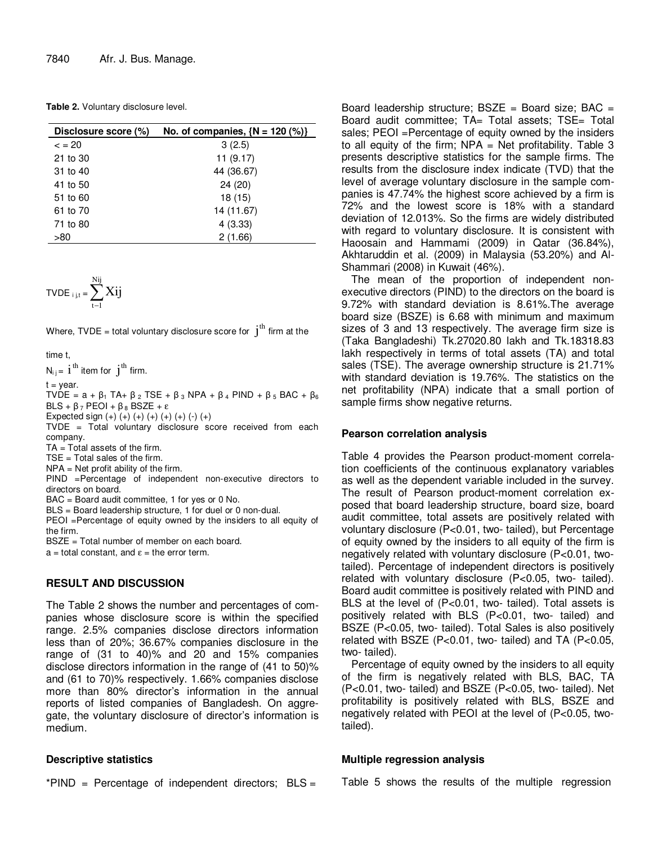**Table 2.** Voluntary disclosure level.

| Disclosure score (%) | No. of companies, $\{N = 120\ (%)\}$ |
|----------------------|--------------------------------------|
| $\epsilon = 20$      | 3(2.5)                               |
| 21 to 30             | 11(9.17)                             |
| 31 to 40             | 44 (36.67)                           |
| 41 to 50             | 24 (20)                              |
| 51 to 60             | 18(15)                               |
| 61 to 70             | 14 (11.67)                           |
| 71 to 80             | 4(3.33)                              |
| >80                  | 2(1.66)                              |

$$
\text{TVDE}_{i,j,t} = \sum_{t-1}^{Nij} Xij
$$

Where, TVDE = total voluntary disclosure score for  $i<sup>th</sup>$  firm at the

time t,

 $N_{ij}$  =  $i$ <sup>th</sup> item for  $j$ <sup>th</sup> firm.

 $t = year.$ 

TVDE =  $a + \beta_1$  TA+  $\beta_2$  TSE +  $\beta_3$  NPA +  $\beta_4$  PIND +  $\beta_5$  BAC +  $\beta_6$ BLS + β<sub>7</sub> PEOI + β<sub>8</sub> BSZE + ε

Expected sign  $(+)$   $(+)$   $(+)$   $(+)$   $(+)$   $(+)$   $(+)$   $(-)$   $(+)$ 

TVDE = Total voluntary disclosure score received from each company.

TA = Total assets of the firm.

 $TSE = Total sales of the firm.$ 

 $NPA = Net profit ability of the firm.$ 

PIND =Percentage of independent non-executive directors to directors on board.

BAC = Board audit committee, 1 for yes or 0 No.

BLS = Board leadership structure, 1 for duel or 0 non-dual.

PEOI =Percentage of equity owned by the insiders to all equity of the firm.

BSZE = Total number of member on each board.

 $a =$  total constant, and  $\varepsilon =$  the error term.

## **RESULT AND DISCUSSION**

The Table 2 shows the number and percentages of companies whose disclosure score is within the specified range. 2.5% companies disclose directors information less than of 20%; 36.67% companies disclosure in the range of (31 to 40)% and 20 and 15% companies disclose directors information in the range of (41 to 50)% and (61 to 70)% respectively. 1.66% companies disclose more than 80% director's information in the annual reports of listed companies of Bangladesh. On aggregate, the voluntary disclosure of director's information is medium.

## **Descriptive statistics**

\*PIND = Percentage of independent directors; BLS =

Board leadership structure;  $BSZE =$  Board size;  $BAC =$ Board audit committee; TA= Total assets; TSE= Total sales; PEOI = Percentage of equity owned by the insiders to all equity of the firm;  $NPA = Net$  profitability. Table 3 presents descriptive statistics for the sample firms. The results from the disclosure index indicate (TVD) that the level of average voluntary disclosure in the sample companies is 47.74% the highest score achieved by a firm is 72% and the lowest score is 18% with a standard deviation of 12.013%. So the firms are widely distributed with regard to voluntary disclosure. It is consistent with Haoosain and Hammami (2009) in Qatar (36.84%), Akhtaruddin et al. (2009) in Malaysia (53.20%) and Al-Shammari (2008) in Kuwait (46%).

The mean of the proportion of independent nonexecutive directors (PIND) to the directors on the board is 9.72% with standard deviation is 8.61%.The average board size (BSZE) is 6.68 with minimum and maximum sizes of 3 and 13 respectively. The average firm size is (Taka Bangladeshi) Tk.27020.80 lakh and Tk.18318.83 lakh respectively in terms of total assets (TA) and total sales (TSE). The average ownership structure is 21.71% with standard deviation is 19.76%. The statistics on the net profitability (NPA) indicate that a small portion of sample firms show negative returns.

## **Pearson correlation analysis**

Table 4 provides the Pearson product-moment correlation coefficients of the continuous explanatory variables as well as the dependent variable included in the survey. The result of Pearson product-moment correlation exposed that board leadership structure, board size, board audit committee, total assets are positively related with voluntary disclosure (P<0.01, two- tailed), but Percentage of equity owned by the insiders to all equity of the firm is negatively related with voluntary disclosure (P<0.01, twotailed). Percentage of independent directors is positively related with voluntary disclosure (P<0.05, two- tailed). Board audit committee is positively related with PIND and BLS at the level of (P<0.01, two- tailed). Total assets is positively related with BLS (P<0.01, two- tailed) and BSZE (P<0.05, two- tailed). Total Sales is also positively related with BSZE (P<0.01, two- tailed) and TA (P<0.05, two- tailed).

Percentage of equity owned by the insiders to all equity of the firm is negatively related with BLS, BAC, TA (P<0.01, two- tailed) and BSZE (P<0.05, two- tailed). Net profitability is positively related with BLS, BSZE and negatively related with PEOI at the level of (P<0.05, twotailed).

## **Multiple regression analysis**

Table 5 shows the results of the multiple regression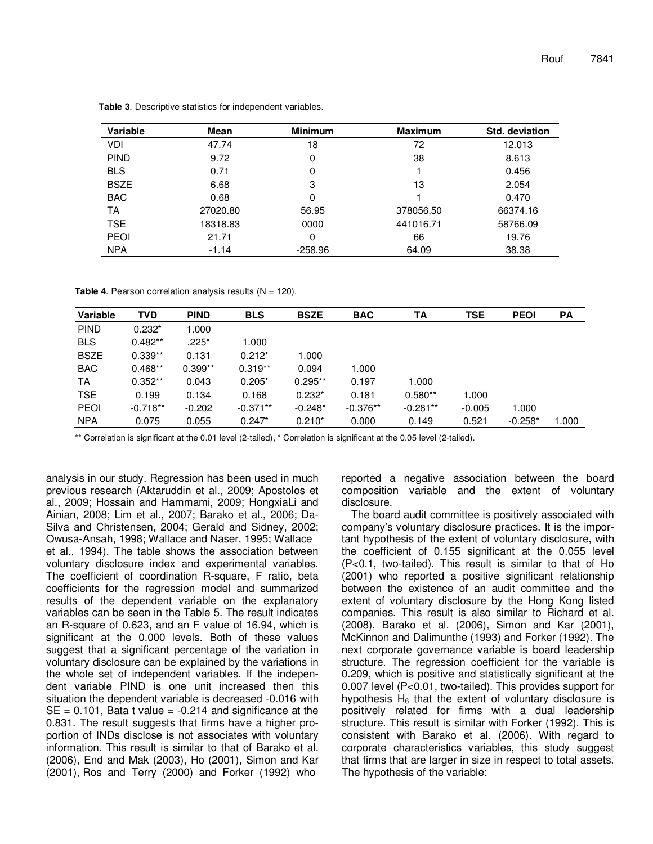| Variable    | Mean     | <b>Minimum</b> | <b>Maximum</b> | Std. deviation |
|-------------|----------|----------------|----------------|----------------|
| VDI         | 47.74    | 18             | 72             | 12.013         |
| <b>PIND</b> | 9.72     | 0              | 38             | 8.613          |
| <b>BLS</b>  | 0.71     | 0              |                | 0.456          |
| <b>BSZE</b> | 6.68     | 3              | 13             | 2.054          |
| <b>BAC</b>  | 0.68     | 0              |                | 0.470          |
| ТA          | 27020.80 | 56.95          | 378056.50      | 66374.16       |
| <b>TSE</b>  | 18318.83 | 0000           | 441016.71      | 58766.09       |
| <b>PEOI</b> | 21.71    | 0              | 66             | 19.76          |
| <b>NPA</b>  | $-1.14$  | $-258.96$      | 64.09          | 38.38          |

**Table 3**. Descriptive statistics for independent variables.

**Table 4.** Pearson correlation analysis results  $(N = 120)$ .

| <b>Variable</b> | <b>TVD</b> | <b>PIND</b> | <b>BLS</b> | <b>BSZE</b> | <b>BAC</b> | ΤA         | <b>TSE</b> | <b>PEOI</b> | <b>PA</b> |
|-----------------|------------|-------------|------------|-------------|------------|------------|------------|-------------|-----------|
| <b>PIND</b>     | $0.232*$   | 1.000       |            |             |            |            |            |             |           |
| <b>BLS</b>      | $0.482**$  | .225*       | 1.000      |             |            |            |            |             |           |
| <b>BSZE</b>     | $0.339**$  | 0.131       | $0.212*$   | 1.000       |            |            |            |             |           |
| <b>BAC</b>      | $0.468**$  | $0.399**$   | $0.319**$  | 0.094       | 1.000      |            |            |             |           |
| TA              | $0.352**$  | 0.043       | $0.205*$   | $0.295**$   | 0.197      | 1.000      |            |             |           |
| <b>TSE</b>      | 0.199      | 0.134       | 0.168      | $0.232*$    | 0.181      | $0.580**$  | 1.000      |             |           |
| <b>PEOI</b>     | $-0.718**$ | $-0.202$    | $-0.371**$ | $-0.248*$   | $-0.376**$ | $-0.281**$ | $-0.005$   | 1.000       |           |
| <b>NPA</b>      | 0.075      | 0.055       | $0.247*$   | $0.210*$    | 0.000      | 0.149      | 0.521      | $-0.258*$   | 1.000     |

\*\* Correlation is significant at the 0.01 level (2-tailed), \* Correlation is significant at the 0.05 level (2-tailed).

analysis in our study. Regression has been used in much previous research (Aktaruddin et al., 2009; Apostolos et al., 2009; Hossain and Hammami, 2009; HongxiaLi and Ainian, 2008; Lim et al., 2007; Barako et al., 2006; Da-Silva and Christensen, 2004; Gerald and Sidney, 2002; Owusa-Ansah, 1998; Wallace and Naser, 1995; Wallace et al., 1994). The table shows the association between voluntary disclosure index and experimental variables. The coefficient of coordination R-square, F ratio, beta coefficients for the regression model and summarized results of the dependent variable on the explanatory variables can be seen in the Table 5. The result indicates an R-square of 0.623, and an F value of 16.94, which is significant at the 0.000 levels. Both of these values suggest that a significant percentage of the variation in voluntary disclosure can be explained by the variations in the whole set of independent variables. If the independent variable PIND is one unit increased then this situation the dependent variable is decreased -0.016 with  $SE = 0.101$ , Bata t value =  $-0.214$  and significance at the 0.831. The result suggests that firms have a higher proportion of INDs disclose is not associates with voluntary information. This result is similar to that of Barako et al. (2006), End and Mak (2003), Ho (2001), Simon and Kar (2001), Ros and Terry (2000) and Forker (1992) who

reported a negative association between the board composition variable and the extent of voluntary disclosure.

The board audit committee is positively associated with company's voluntary disclosure practices. It is the important hypothesis of the extent of voluntary disclosure, with the coefficient of 0.155 significant at the 0.055 level (P<0.1, two-tailed). This result is similar to that of Ho (2001) who reported a positive significant relationship between the existence of an audit committee and the extent of voluntary disclosure by the Hong Kong listed companies. This result is also similar to Richard et al. (2008), Barako et al. (2006), Simon and Kar (2001), McKinnon and Dalimunthe (1993) and Forker (1992). The next corporate governance variable is board leadership structure. The regression coefficient for the variable is 0.209, which is positive and statistically significant at the 0.007 level (P<0.01, two-tailed). This provides support for hypothesis  $H_6$  that the extent of voluntary disclosure is positively related for firms with a dual leadership structure. This result is similar with Forker (1992). This is consistent with Barako et al. (2006). With regard to corporate characteristics variables, this study suggest that firms that are larger in size in respect to total assets. The hypothesis of the variable: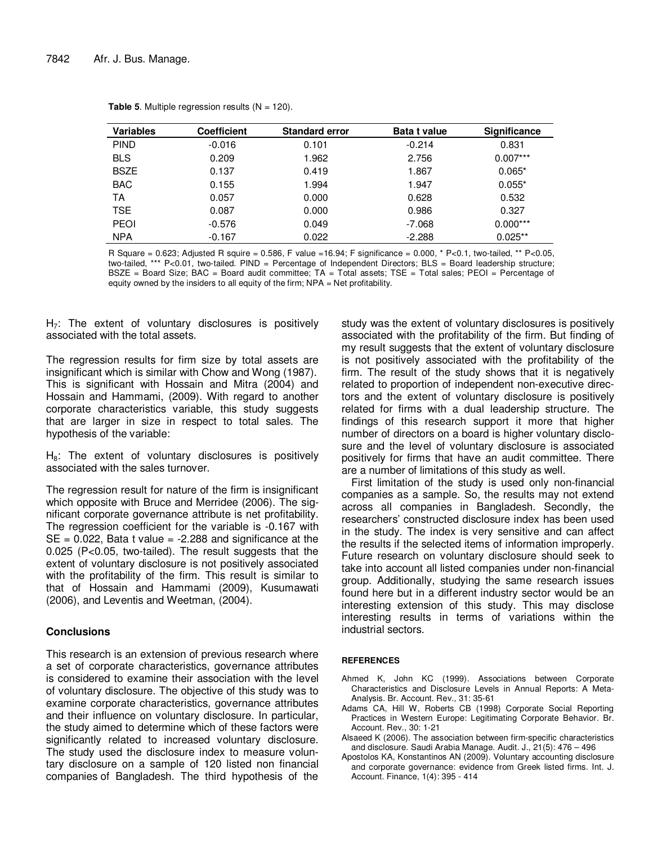| <b>Variables</b> | <b>Coefficient</b> | <b>Standard error</b> | <b>Bata t value</b> | <b>Significance</b> |
|------------------|--------------------|-----------------------|---------------------|---------------------|
| <b>PIND</b>      | $-0.016$           | 0.101                 | $-0.214$            | 0.831               |
| <b>BLS</b>       | 0.209              | 1.962                 | 2.756               | $0.007***$          |
| <b>BSZE</b>      | 0.137              | 0.419                 | 1.867               | $0.065*$            |
| <b>BAC</b>       | 0.155              | 1.994                 | 1.947               | $0.055*$            |
| TA               | 0.057              | 0.000                 | 0.628               | 0.532               |
| <b>TSE</b>       | 0.087              | 0.000                 | 0.986               | 0.327               |
| <b>PEOI</b>      | $-0.576$           | 0.049                 | -7.068              | $0.000***$          |
| <b>NPA</b>       | $-0.167$           | 0.022                 | $-2.288$            | $0.025**$           |

**Table 5**. Multiple regression results  $(N = 120)$ .

R Square =  $0.623$ ; Adjusted R squire =  $0.586$ , F value =  $16.94$ ; F significance =  $0.000$ , \* P<0.1, two-tailed, \*\* P<0.05, two-tailed, \*\*\* P<0.01, two-tailed. PIND = Percentage of Independent Directors; BLS = Board leadership structure; BSZE = Board Size; BAC = Board audit committee; TA = Total assets; TSE = Total sales; PEOI = Percentage of equity owned by the insiders to all equity of the firm; NPA = Net profitability.

 $H<sub>7</sub>$ : The extent of voluntary disclosures is positively associated with the total assets.

The regression results for firm size by total assets are insignificant which is similar with Chow and Wong (1987). This is significant with Hossain and Mitra (2004) and Hossain and Hammami, (2009). With regard to another corporate characteristics variable, this study suggests that are larger in size in respect to total sales. The hypothesis of the variable:

 $H_8$ : The extent of voluntary disclosures is positively associated with the sales turnover.

The regression result for nature of the firm is insignificant which opposite with Bruce and Merridee (2006). The significant corporate governance attribute is net profitability. The regression coefficient for the variable is -0.167 with  $SE = 0.022$ , Bata t value = -2.288 and significance at the 0.025 (P<0.05, two-tailed). The result suggests that the extent of voluntary disclosure is not positively associated with the profitability of the firm. This result is similar to that of Hossain and Hammami (2009), Kusumawati (2006), and Leventis and Weetman, (2004).

#### **Conclusions**

This research is an extension of previous research where a set of corporate characteristics, governance attributes is considered to examine their association with the level of voluntary disclosure. The objective of this study was to examine corporate characteristics, governance attributes and their influence on voluntary disclosure. In particular, the study aimed to determine which of these factors were significantly related to increased voluntary disclosure. The study used the disclosure index to measure voluntary disclosure on a sample of 120 listed non financial companies of Bangladesh. The third hypothesis of the

study was the extent of voluntary disclosures is positively associated with the profitability of the firm. But finding of my result suggests that the extent of voluntary disclosure is not positively associated with the profitability of the firm. The result of the study shows that it is negatively related to proportion of independent non-executive directors and the extent of voluntary disclosure is positively related for firms with a dual leadership structure. The findings of this research support it more that higher number of directors on a board is higher voluntary disclosure and the level of voluntary disclosure is associated positively for firms that have an audit committee. There are a number of limitations of this study as well.

First limitation of the study is used only non-financial companies as a sample. So, the results may not extend across all companies in Bangladesh. Secondly, the researchers' constructed disclosure index has been used in the study. The index is very sensitive and can affect the results if the selected items of information improperly. Future research on voluntary disclosure should seek to take into account all listed companies under non-financial group. Additionally, studying the same research issues found here but in a different industry sector would be an interesting extension of this study. This may disclose interesting results in terms of variations within the industrial sectors.

#### **REFERENCES**

- Ahmed K, John KC (1999). Associations between Corporate Characteristics and Disclosure Levels in Annual Reports: A Meta-Analysis. Br. Account. Rev., 31: 35-61
- Adams CA, Hill W, Roberts CB (1998) Corporate Social Reporting Practices in Western Europe: Legitimating Corporate Behavior. Br. Account. Rev., 30: 1-21
- Alsaeed K (2006). The association between firm-specific characteristics and disclosure. Saudi Arabia Manage. Audit. J., 21(5): 476 – 496
- Apostolos KA, Konstantinos AN (2009). Voluntary accounting disclosure and corporate governance: evidence from Greek listed firms. Int. J. Account. Finance, 1(4): 395 - 414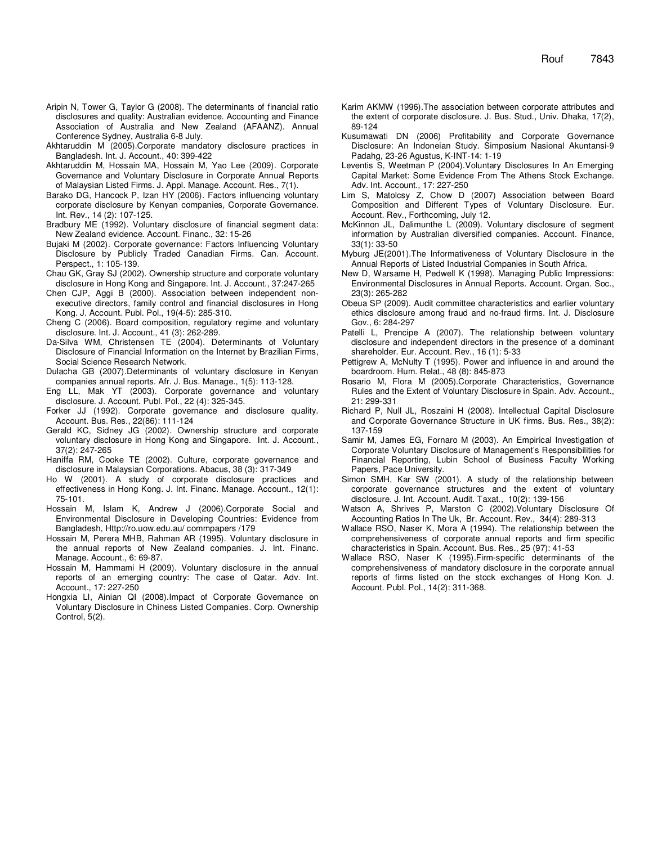- Aripin N, Tower G, Taylor G (2008). The determinants of financial ratio disclosures and quality: Australian evidence. Accounting and Finance Association of Australia and New Zealand (AFAANZ). Annual Conference Sydney, Australia 6-8 July.
- Akhtaruddin M (2005).Corporate mandatory disclosure practices in Bangladesh. Int. J. Account., 40: 399-422
- Akhtaruddin M, Hossain MA, Hossain M, Yao Lee (2009). Corporate Governance and Voluntary Disclosure in Corporate Annual Reports of Malaysian Listed Firms. J. Appl. Manage. Account. Res., 7(1).
- Barako DG, Hancock P, Izan HY (2006). Factors influencing voluntary corporate disclosure by Kenyan companies, Corporate Governance. Int. Rev., 14 (2): 107-125.
- Bradbury ME (1992). Voluntary disclosure of financial segment data: New Zealand evidence. Account. Financ., 32: 15-26
- Bujaki M (2002). Corporate governance: Factors Influencing Voluntary Disclosure by Publicly Traded Canadian Firms. Can. Account. Perspect., 1: 105-139.
- Chau GK, Gray SJ (2002). Ownership structure and corporate voluntary disclosure in Hong Kong and Singapore. Int. J. Account., 37:247-265
- Chen CJP, Aggi B (2000). Association between independent nonexecutive directors, family control and financial disclosures in Hong Kong. J. Account. Publ. Pol., 19(4-5): 285-310.
- Cheng C (2006). Board composition, regulatory regime and voluntary disclosure. Int. J. Account., 41 (3): 262-289.
- Da-Silva WM, Christensen TE (2004). Determinants of Voluntary Disclosure of Financial Information on the Internet by Brazilian Firms, Social Science Research Network.
- Dulacha GB (2007).Determinants of voluntary disclosure in Kenyan companies annual reports. Afr. J. Bus. Manage., 1(5): 113-128.
- Eng LL, Mak YT (2003). Corporate governance and voluntary disclosure. J. Account. Publ. Pol., 22 (4): 325-345.
- Forker JJ (1992). Corporate governance and disclosure quality. Account. Bus. Res., 22(86): 111-124
- Gerald KC, Sidney JG (2002). Ownership structure and corporate voluntary disclosure in Hong Kong and Singapore. Int. J. Account., 37(2): 247-265
- Haniffa RM, Cooke TE (2002). Culture, corporate governance and disclosure in Malaysian Corporations. Abacus, 38 (3): 317-349
- Ho W (2001). A study of corporate disclosure practices and effectiveness in Hong Kong. J. Int. Financ. Manage. Account., 12(1): 75-101.
- Hossain M, Islam K, Andrew J (2006).Corporate Social and Environmental Disclosure in Developing Countries: Evidence from Bangladesh, Http://ro.uow.edu.au/ commpapers /179
- Hossain M, Perera MHB, Rahman AR (1995). Voluntary disclosure in the annual reports of New Zealand companies. J. Int. Financ. Manage. Account., 6: 69-87.
- Hossain M, Hammami H (2009). Voluntary disclosure in the annual reports of an emerging country: The case of Qatar. Adv. Int. Account., 17: 227-250
- Hongxia LI, Ainian QI (2008).Impact of Corporate Governance on Voluntary Disclosure in Chiness Listed Companies. Corp. Ownership Control, 5(2).
- Karim AKMW (1996).The association between corporate attributes and the extent of corporate disclosure. J. Bus. Stud., Univ. Dhaka, 17(2), 89-124
- Kusumawati DN (2006) Profitability and Corporate Governance Disclosure: An Indoneian Study. Simposium Nasional Akuntansi-9 Padahg, 23-26 Agustus, K-INT-14: 1-19
- Leventis S, Weetman P (2004).Voluntary Disclosures In An Emerging Capital Market: Some Evidence From The Athens Stock Exchange. Adv. Int. Account., 17: 227-250
- Lim S, Matolcsy Z, Chow D (2007) Association between Board Composition and Different Types of Voluntary Disclosure. Eur. Account. Rev., Forthcoming, July 12.
- McKinnon JL, Dalimunthe L (2009). Voluntary disclosure of segment information by Australian diversified companies. Account. Finance, 33(1): 33-50
- Myburg JE(2001).The Informativeness of Voluntary Disclosure in the Annual Reports of Listed Industrial Companies in South Africa.
- New D, Warsame H, Pedwell K (1998). Managing Public Impressions: Environmental Disclosures in Annual Reports. Account. Organ. Soc., 23(3): 265-282
- Obeua SP (2009). Audit committee characteristics and earlier voluntary ethics disclosure among fraud and no-fraud firms. Int. J. Disclosure Gov., 6: 284-297
- Patelli L, Prencipe A (2007). The relationship between voluntary disclosure and independent directors in the presence of a dominant shareholder. Eur. Account. Rev., 16 (1): 5-33
- Pettigrew A, McNulty T (1995). Power and influence in and around the boardroom. Hum. Relat., 48 (8): 845-873
- Rosario M, Flora M (2005).Corporate Characteristics, Governance Rules and the Extent of Voluntary Disclosure in Spain. Adv. Account., 21: 299-331
- Richard P, Null JL, Roszaini H (2008). Intellectual Capital Disclosure and Corporate Governance Structure in UK firms. Bus. Res., 38(2): 137-159
- Samir M, James EG, Fornaro M (2003). An Empirical Investigation of Corporate Voluntary Disclosure of Management's Responsibilities for Financial Reporting, Lubin School of Business Faculty Working Papers, Pace University.
- Simon SMH, Kar SW (2001). A study of the relationship between corporate governance structures and the extent of voluntary disclosure. J. Int. Account. Audit. Taxat., 10(2): 139-156
- Watson A, Shrives P, Marston C (2002).Voluntary Disclosure Of Accounting Ratios In The Uk, Br. Account. Rev., 34(4): 289-313
- Wallace RSO, Naser K, Mora A (1994). The relationship between the comprehensiveness of corporate annual reports and firm specific characteristics in Spain. Account. Bus. Res., 25 (97): 41-53
- Wallace RSO, Naser K (1995). Firm-specific determinants of the comprehensiveness of mandatory disclosure in the corporate annual reports of firms listed on the stock exchanges of Hong Kon. J. Account. Publ. Pol., 14(2): 311-368.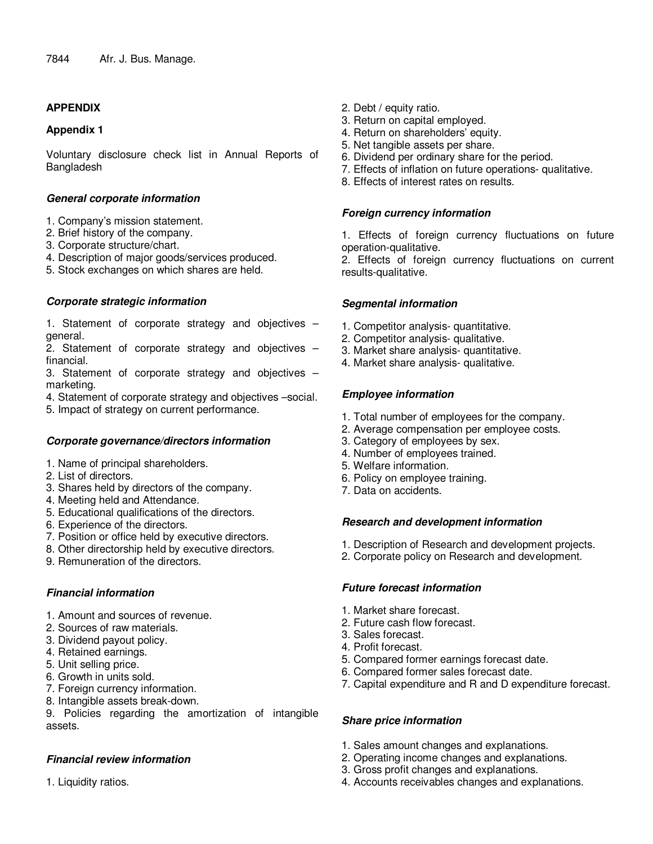## **APPENDIX**

#### **Appendix 1**

Voluntary disclosure check list in Annual Reports of Bangladesh

#### **General corporate information**

- 1. Company's mission statement.
- 2. Brief history of the company.
- 3. Corporate structure/chart.
- 4. Description of major goods/services produced.
- 5. Stock exchanges on which shares are held.

## **Corporate strategic information**

1. Statement of corporate strategy and objectives – general.

2. Statement of corporate strategy and objectives – financial.

3. Statement of corporate strategy and objectives – marketing.

- 4. Statement of corporate strategy and objectives –social.
- 5. Impact of strategy on current performance.

## **Corporate governance/directors information**

- 1. Name of principal shareholders.
- 2. List of directors.
- 3. Shares held by directors of the company.
- 4. Meeting held and Attendance.
- 5. Educational qualifications of the directors.
- 6. Experience of the directors.
- 7. Position or office held by executive directors.
- 8. Other directorship held by executive directors.
- 9. Remuneration of the directors.

## **Financial information**

- 1. Amount and sources of revenue.
- 2. Sources of raw materials.
- 3. Dividend payout policy.
- 4. Retained earnings.
- 5. Unit selling price.
- 6. Growth in units sold.
- 7. Foreign currency information.
- 8. Intangible assets break-down.

9. Policies regarding the amortization of intangible assets.

# **Financial review information**

1. Liquidity ratios.

- 2. Debt / equity ratio.
- 3. Return on capital employed.
- 4. Return on shareholders' equity.
- 5. Net tangible assets per share.
- 6. Dividend per ordinary share for the period.
- 7. Effects of inflation on future operations- qualitative.
- 8. Effects of interest rates on results.

#### **Foreign currency information**

1. Effects of foreign currency fluctuations on future operation-qualitative.

2. Effects of foreign currency fluctuations on current results-qualitative.

## **Segmental information**

- 1. Competitor analysis- quantitative.
- 2. Competitor analysis- qualitative.
- 3. Market share analysis- quantitative.
- 4. Market share analysis- qualitative.

## **Employee information**

- 1. Total number of employees for the company.
- 2. Average compensation per employee costs.
- 3. Category of employees by sex.
- 4. Number of employees trained.
- 5. Welfare information.
- 6. Policy on employee training.
- 7. Data on accidents.

## **Research and development information**

- 1. Description of Research and development projects.
- 2. Corporate policy on Research and development.

## **Future forecast information**

- 1. Market share forecast.
- 2. Future cash flow forecast.
- 3. Sales forecast.
- 4. Profit forecast.
- 5. Compared former earnings forecast date.
- 6. Compared former sales forecast date.
- 7. Capital expenditure and R and D expenditure forecast.

## **Share price information**

- 1. Sales amount changes and explanations.
- 2. Operating income changes and explanations.
- 3. Gross profit changes and explanations.
- 4. Accounts receivables changes and explanations.